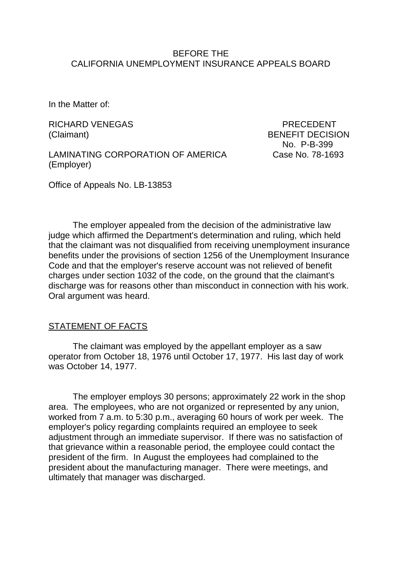### BEFORE THE CALIFORNIA UNEMPLOYMENT INSURANCE APPEALS BOARD

In the Matter of:

RICHARD VENEGAS PRECEDENT (Claimant) BENEFIT DECISION

LAMINATING CORPORATION OF AMERICA Case No. 78-1693 (Employer)

No. P-B-399

Office of Appeals No. LB-13853

The employer appealed from the decision of the administrative law judge which affirmed the Department's determination and ruling, which held that the claimant was not disqualified from receiving unemployment insurance benefits under the provisions of section 1256 of the Unemployment Insurance Code and that the employer's reserve account was not relieved of benefit charges under section 1032 of the code, on the ground that the claimant's discharge was for reasons other than misconduct in connection with his work. Oral argument was heard.

#### STATEMENT OF FACTS

The claimant was employed by the appellant employer as a saw operator from October 18, 1976 until October 17, 1977. His last day of work was October 14, 1977.

The employer employs 30 persons; approximately 22 work in the shop area. The employees, who are not organized or represented by any union, worked from 7 a.m. to 5:30 p.m., averaging 60 hours of work per week. The employer's policy regarding complaints required an employee to seek adjustment through an immediate supervisor. If there was no satisfaction of that grievance within a reasonable period, the employee could contact the president of the firm. In August the employees had complained to the president about the manufacturing manager. There were meetings, and ultimately that manager was discharged.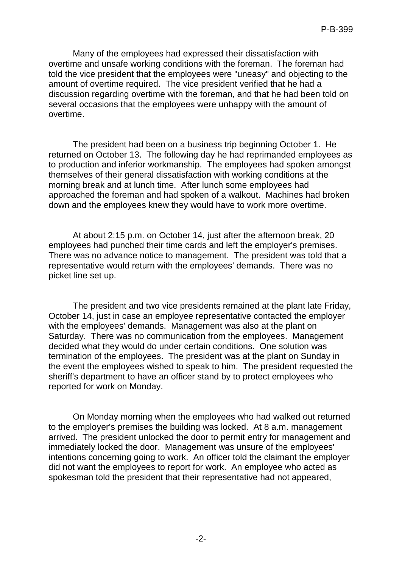Many of the employees had expressed their dissatisfaction with overtime and unsafe working conditions with the foreman. The foreman had told the vice president that the employees were "uneasy" and objecting to the amount of overtime required. The vice president verified that he had a discussion regarding overtime with the foreman, and that he had been told on several occasions that the employees were unhappy with the amount of overtime.

The president had been on a business trip beginning October 1. He returned on October 13. The following day he had reprimanded employees as to production and inferior workmanship. The employees had spoken amongst themselves of their general dissatisfaction with working conditions at the morning break and at lunch time. After lunch some employees had approached the foreman and had spoken of a walkout. Machines had broken down and the employees knew they would have to work more overtime.

At about 2:15 p.m. on October 14, just after the afternoon break, 20 employees had punched their time cards and left the employer's premises. There was no advance notice to management. The president was told that a representative would return with the employees' demands. There was no picket line set up.

The president and two vice presidents remained at the plant late Friday, October 14, just in case an employee representative contacted the employer with the employees' demands. Management was also at the plant on Saturday. There was no communication from the employees. Management decided what they would do under certain conditions. One solution was termination of the employees. The president was at the plant on Sunday in the event the employees wished to speak to him. The president requested the sheriff's department to have an officer stand by to protect employees who reported for work on Monday.

On Monday morning when the employees who had walked out returned to the employer's premises the building was locked. At 8 a.m. management arrived. The president unlocked the door to permit entry for management and immediately locked the door. Management was unsure of the employees' intentions concerning going to work. An officer told the claimant the employer did not want the employees to report for work. An employee who acted as spokesman told the president that their representative had not appeared,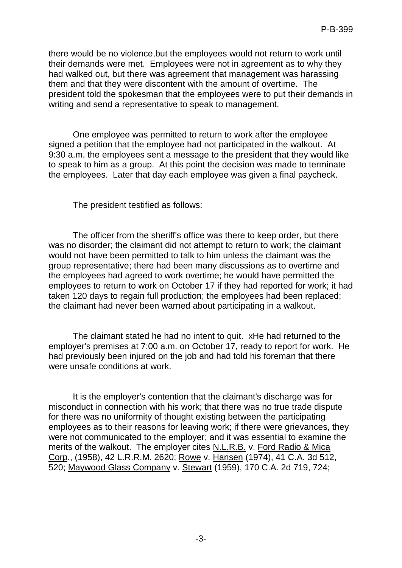there would be no violence,but the employees would not return to work until their demands were met. Employees were not in agreement as to why they had walked out, but there was agreement that management was harassing them and that they were discontent with the amount of overtime. The president told the spokesman that the employees were to put their demands in writing and send a representative to speak to management.

One employee was permitted to return to work after the employee signed a petition that the employee had not participated in the walkout. At 9:30 a.m. the employees sent a message to the president that they would like to speak to him as a group. At this point the decision was made to terminate the employees. Later that day each employee was given a final paycheck.

The president testified as follows:

The officer from the sheriff's office was there to keep order, but there was no disorder; the claimant did not attempt to return to work; the claimant would not have been permitted to talk to him unless the claimant was the group representative; there had been many discussions as to overtime and the employees had agreed to work overtime; he would have permitted the employees to return to work on October 17 if they had reported for work; it had taken 120 days to regain full production; the employees had been replaced; the claimant had never been warned about participating in a walkout.

The claimant stated he had no intent to quit. xHe had returned to the employer's premises at 7:00 a.m. on October 17, ready to report for work. He had previously been injured on the job and had told his foreman that there were unsafe conditions at work.

It is the employer's contention that the claimant's discharge was for misconduct in connection with his work; that there was no true trade dispute for there was no uniformity of thought existing between the participating employees as to their reasons for leaving work; if there were grievances, they were not communicated to the employer; and it was essential to examine the merits of the walkout. The employer cites N.L.R.B. v. Ford Radio & Mica Corp., (1958), 42 L.R.R.M. 2620; Rowe v. Hansen (1974), 41 C.A. 3d 512, 520; Maywood Glass Company v. Stewart (1959), 170 C.A. 2d 719, 724;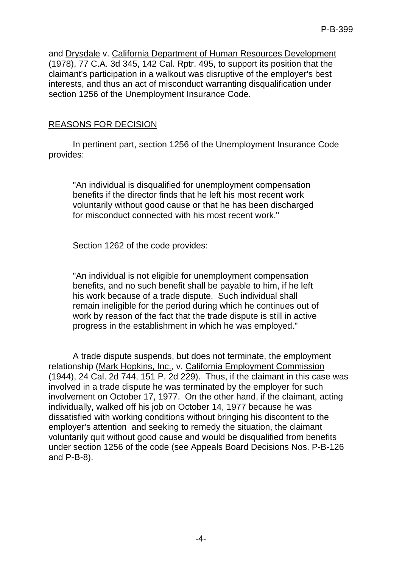and Drysdale v. California Department of Human Resources Development (1978), 77 C.A. 3d 345, 142 Cal. Rptr. 495, to support its position that the claimant's participation in a walkout was disruptive of the employer's best interests, and thus an act of misconduct warranting disqualification under section 1256 of the Unemployment Insurance Code.

## REASONS FOR DECISION

In pertinent part, section 1256 of the Unemployment Insurance Code provides:

"An individual is disqualified for unemployment compensation benefits if the director finds that he left his most recent work voluntarily without good cause or that he has been discharged for misconduct connected with his most recent work."

Section 1262 of the code provides:

"An individual is not eligible for unemployment compensation benefits, and no such benefit shall be payable to him, if he left his work because of a trade dispute. Such individual shall remain ineligible for the period during which he continues out of work by reason of the fact that the trade dispute is still in active progress in the establishment in which he was employed."

A trade dispute suspends, but does not terminate, the employment relationship (Mark Hopkins, Inc., v. California Employment Commission (1944), 24 Cal. 2d 744, 151 P. 2d 229). Thus, if the claimant in this case was involved in a trade dispute he was terminated by the employer for such involvement on October 17, 1977. On the other hand, if the claimant, acting individually, walked off his job on October 14, 1977 because he was dissatisfied with working conditions without bringing his discontent to the employer's attention and seeking to remedy the situation, the claimant voluntarily quit without good cause and would be disqualified from benefits under section 1256 of the code (see Appeals Board Decisions Nos. P-B-126 and P-B-8).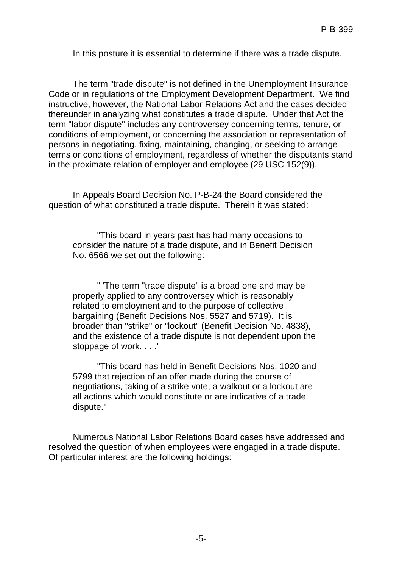In this posture it is essential to determine if there was a trade dispute.

The term "trade dispute" is not defined in the Unemployment Insurance Code or in regulations of the Employment Development Department. We find instructive, however, the National Labor Relations Act and the cases decided thereunder in analyzing what constitutes a trade dispute. Under that Act the term "labor dispute" includes any controversey concerning terms, tenure, or conditions of employment, or concerning the association or representation of persons in negotiating, fixing, maintaining, changing, or seeking to arrange terms or conditions of employment, regardless of whether the disputants stand in the proximate relation of employer and employee (29 USC 152(9)).

In Appeals Board Decision No. P-B-24 the Board considered the question of what constituted a trade dispute. Therein it was stated:

"This board in years past has had many occasions to consider the nature of a trade dispute, and in Benefit Decision No. 6566 we set out the following:

" 'The term "trade dispute" is a broad one and may be properly applied to any controversey which is reasonably related to employment and to the purpose of collective bargaining (Benefit Decisions Nos. 5527 and 5719). It is broader than "strike" or "lockout" (Benefit Decision No. 4838), and the existence of a trade dispute is not dependent upon the stoppage of work. . . .'

"This board has held in Benefit Decisions Nos. 1020 and 5799 that rejection of an offer made during the course of negotiations, taking of a strike vote, a walkout or a lockout are all actions which would constitute or are indicative of a trade dispute."

Numerous National Labor Relations Board cases have addressed and resolved the question of when employees were engaged in a trade dispute. Of particular interest are the following holdings: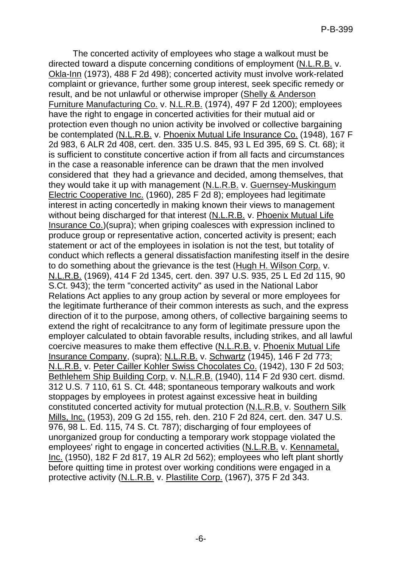The concerted activity of employees who stage a walkout must be directed toward a dispute concerning conditions of employment (N.L.R.B. v. Okla-Inn (1973), 488 F 2d 498); concerted activity must involve work-related complaint or grievance, further some group interest, seek specific remedy or result, and be not unlawful or otherwise improper (Shelly & Anderson Furniture Manufacturing Co. v. N.L.R.B. (1974), 497 F 2d 1200); employees have the right to engage in concerted activities for their mutual aid or protection even though no union activity be involved or collective bargaining be contemplated (N.L.R.B. v. Phoenix Mutual Life Insurance Co. (1948), 167 F 2d 983, 6 ALR 2d 408, cert. den. 335 U.S. 845, 93 L Ed 395, 69 S. Ct. 68); it is sufficient to constitute concertive action if from all facts and circumstances in the case a reasonable inference can be drawn that the men involved considered that they had a grievance and decided, among themselves, that they would take it up with management (N.L.R.B. v. Guernsey-Muskingum Electric Cooperative Inc. (1960), 285 F 2d 8); employees had legitimate interest in acting concertedly in making known their views to management without being discharged for that interest (N.L.R.B. v. Phoenix Mutual Life Insurance Co.)(supra); when griping coalesces with expression inclined to produce group or representative action, concerted activity is present; each statement or act of the employees in isolation is not the test, but totality of conduct which reflects a general dissatisfaction manifesting itself in the desire to do something about the grievance is the test (Hugh H. Wilson Corp. v. N.L.R.B. (1969), 414 F 2d 1345, cert. den. 397 U.S. 935, 25 L Ed 2d 115, 90 S.Ct. 943); the term "concerted activity" as used in the National Labor Relations Act applies to any group action by several or more employees for the legitimate furtherance of their common interests as such, and the express direction of it to the purpose, among others, of collective bargaining seems to extend the right of recalcitrance to any form of legitimate pressure upon the employer calculated to obtain favorable results, including strikes, and all lawful coercive measures to make them effective (N.L.R.B. v. Phoenix Mutual Life Insurance Company, (supra); N.L.R.B. v. Schwartz (1945), 146 F 2d 773; N.L.R.B. v. Peter Cailler Kohler Swiss Chocolates Co. (1942), 130 F 2d 503; Bethlehem Ship Building Corp. v. N.L.R.B. (1940), 114 F 2d 930 cert. dismd. 312 U.S. 7 110, 61 S. Ct. 448; spontaneous temporary walkouts and work stoppages by employees in protest against excessive heat in building constituted concerted activity for mutual protection (N.L.R.B. v. Southern Silk Mills, Inc. (1953), 209 G 2d 155, reh. den. 210 F 2d 824, cert. den. 347 U.S. 976, 98 L. Ed. 115, 74 S. Ct. 787); discharging of four employees of unorganized group for conducting a temporary work stoppage violated the employees' right to engage in concerted activities (N.L.R.B. v. Kennametal, Inc. (1950), 182 F 2d 817, 19 ALR 2d 562); employees who left plant shortly before quitting time in protest over working conditions were engaged in a protective activity (N.L.R.B. v. Plastilite Corp. (1967), 375 F 2d 343.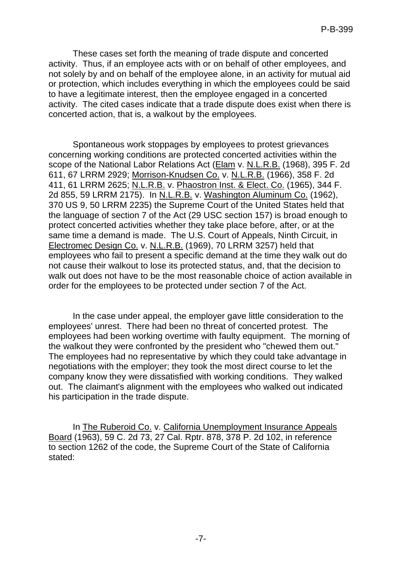These cases set forth the meaning of trade dispute and concerted activity. Thus, if an employee acts with or on behalf of other employees, and not solely by and on behalf of the employee alone, in an activity for mutual aid or protection, which includes everything in which the employees could be said to have a legitimate interest, then the employee engaged in a concerted activity. The cited cases indicate that a trade dispute does exist when there is concerted action, that is, a walkout by the employees.

Spontaneous work stoppages by employees to protest grievances concerning working conditions are protected concerted activities within the scope of the National Labor Relations Act (Elam v. N.L.R.B. (1968), 395 F. 2d 611, 67 LRRM 2929; Morrison-Knudsen Co. v. N.L.R.B. (1966), 358 F. 2d 411, 61 LRRM 2625; N.L.R.B. v. Phaostron Inst. & Elect. Co. (1965), 344 F. 2d 855, 59 LRRM 2175). In N.L.R.B. v. Washington Aluminum Co. (1962), 370 US 9, 50 LRRM 2235) the Supreme Court of the United States held that the language of section 7 of the Act (29 USC section 157) is broad enough to protect concerted activities whether they take place before, after, or at the same time a demand is made. The U.S. Court of Appeals, Ninth Circuit, in Electromec Design Co. v. N.L.R.B. (1969), 70 LRRM 3257) held that employees who fail to present a specific demand at the time they walk out do not cause their walkout to lose its protected status, and, that the decision to walk out does not have to be the most reasonable choice of action available in order for the employees to be protected under section 7 of the Act.

In the case under appeal, the employer gave little consideration to the employees' unrest. There had been no threat of concerted protest. The employees had been working overtime with faulty equipment. The morning of the walkout they were confronted by the president who "chewed them out." The employees had no representative by which they could take advantage in negotiations with the employer; they took the most direct course to let the company know they were dissatisfied with working conditions. They walked out. The claimant's alignment with the employees who walked out indicated his participation in the trade dispute.

In The Ruberoid Co. v. California Unemployment Insurance Appeals Board (1963), 59 C. 2d 73, 27 Cal. Rptr. 878, 378 P. 2d 102, in reference to section 1262 of the code, the Supreme Court of the State of California stated: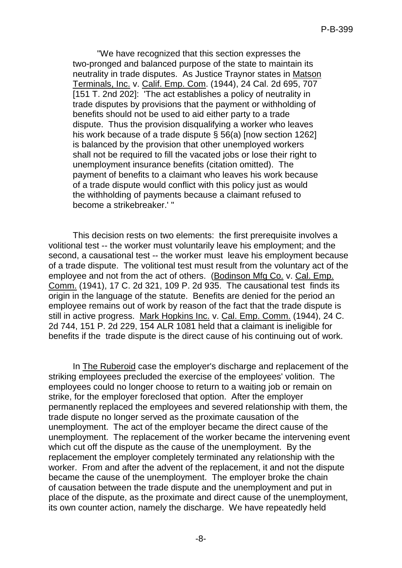"We have recognized that this section expresses the two-pronged and balanced purpose of the state to maintain its neutrality in trade disputes. As Justice Traynor states in Matson Terminals, Inc. v. Calif. Emp. Com. (1944), 24 Cal. 2d 695, 707 [151 T. 2nd 202]: 'The act establishes a policy of neutrality in trade disputes by provisions that the payment or withholding of benefits should not be used to aid either party to a trade dispute. Thus the provision disqualifying a worker who leaves his work because of a trade dispute § 56(a) [now section 1262] is balanced by the provision that other unemployed workers shall not be required to fill the vacated jobs or lose their right to unemployment insurance benefits (citation omitted). The payment of benefits to a claimant who leaves his work because of a trade dispute would conflict with this policy just as would the withholding of payments because a claimant refused to become a strikebreaker.' "

This decision rests on two elements: the first prerequisite involves a volitional test -- the worker must voluntarily leave his employment; and the second, a causational test -- the worker must leave his employment because of a trade dispute. The volitional test must result from the voluntary act of the employee and not from the act of others. (Bodinson Mfg Co. v. Cal. Emp. Comm. (1941), 17 C. 2d 321, 109 P. 2d 935. The causational test finds its origin in the language of the statute. Benefits are denied for the period an employee remains out of work by reason of the fact that the trade dispute is still in active progress. Mark Hopkins Inc. v. Cal. Emp. Comm. (1944), 24 C. 2d 744, 151 P. 2d 229, 154 ALR 1081 held that a claimant is ineligible for benefits if the trade dispute is the direct cause of his continuing out of work.

In The Ruberoid case the employer's discharge and replacement of the striking employees precluded the exercise of the employees' volition. The employees could no longer choose to return to a waiting job or remain on strike, for the employer foreclosed that option. After the employer permanently replaced the employees and severed relationship with them, the trade dispute no longer served as the proximate causation of the unemployment. The act of the employer became the direct cause of the unemployment. The replacement of the worker became the intervening event which cut off the dispute as the cause of the unemployment. By the replacement the employer completely terminated any relationship with the worker. From and after the advent of the replacement, it and not the dispute became the cause of the unemployment. The employer broke the chain of causation between the trade dispute and the unemployment and put in place of the dispute, as the proximate and direct cause of the unemployment, its own counter action, namely the discharge. We have repeatedly held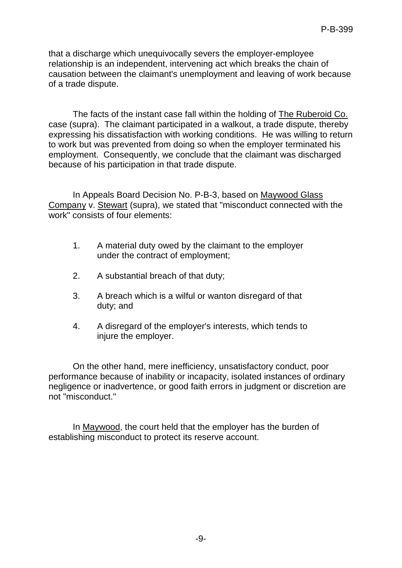that a discharge which unequivocally severs the employer-employee relationship is an independent, intervening act which breaks the chain of causation between the claimant's unemployment and leaving of work because of a trade dispute.

The facts of the instant case fall within the holding of The Ruberoid Co. case (supra). The claimant participated in a walkout, a trade dispute, thereby expressing his dissatisfaction with working conditions. He was willing to return to work but was prevented from doing so when the employer terminated his employment. Consequently, we conclude that the claimant was discharged because of his participation in that trade dispute.

In Appeals Board Decision No. P-B-3, based on Maywood Glass Company v. Stewart (supra), we stated that "misconduct connected with the work" consists of four elements:

- 1. A material duty owed by the claimant to the employer under the contract of employment;
- 2. A substantial breach of that duty;
- 3. A breach which is a wilful or wanton disregard of that duty; and
- 4. A disregard of the employer's interests, which tends to injure the employer.

On the other hand, mere inefficiency, unsatisfactory conduct, poor performance because of inability or incapacity, isolated instances of ordinary negligence or inadvertence, or good faith errors in judgment or discretion are not "misconduct."

In Maywood, the court held that the employer has the burden of establishing misconduct to protect its reserve account.